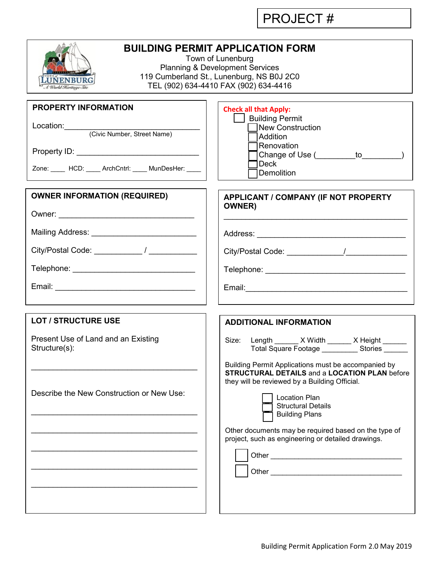PROJECT #

| <b>BUILDING PERMIT APPLICATION FORM</b><br>Town of Lunenburg<br><b>Planning &amp; Development Services</b><br>119 Cumberland St., Lunenburg, NS B0J 2C0<br><b>UNENBURG</b><br>TEL (902) 634-4410 FAX (902) 634-4416<br>l World Keritage Site |                                                                                                                                                                                                                                                                                                                                                                                                                                                                                                           |  |  |  |  |  |
|----------------------------------------------------------------------------------------------------------------------------------------------------------------------------------------------------------------------------------------------|-----------------------------------------------------------------------------------------------------------------------------------------------------------------------------------------------------------------------------------------------------------------------------------------------------------------------------------------------------------------------------------------------------------------------------------------------------------------------------------------------------------|--|--|--|--|--|
| PROPERTY INFORMATION<br>Location: (Civic Number, Street Name)<br>Zone: _____ HCD: ____ ArchCntrl: ____ MunDesHer: ____                                                                                                                       | <b>Check all that Apply:</b><br><b>Suilding Permit</b><br>New Construction<br><b>Addition</b><br>Renovation<br>Deck<br>Demolition                                                                                                                                                                                                                                                                                                                                                                         |  |  |  |  |  |
| <b>OWNER INFORMATION (REQUIRED)</b><br>Mailing Address: ____________________________<br>Telephone: ___________________________________                                                                                                       | APPLICANT / COMPANY (IF NOT PROPERTY<br><b>OWNER</b> )                                                                                                                                                                                                                                                                                                                                                                                                                                                    |  |  |  |  |  |
| <b>LOT / STRUCTURE USE</b><br>Present Use of Land and an Existing<br>Structure(s):<br>Describe the New Construction or New Use:                                                                                                              | <b>ADDITIONAL INFORMATION</b><br>Length _______ X Width _______ X Height ______<br>Size:<br>Total Square Footage ____________ Stories _______<br>Building Permit Applications must be accompanied by<br><b>STRUCTURAL DETAILS and a LOCATION PLAN before</b><br>they will be reviewed by a Building Official.<br><b>Location Plan</b><br><b>Structural Details</b><br><b>Building Plans</b><br>Other documents may be required based on the type of<br>project, such as engineering or detailed drawings. |  |  |  |  |  |